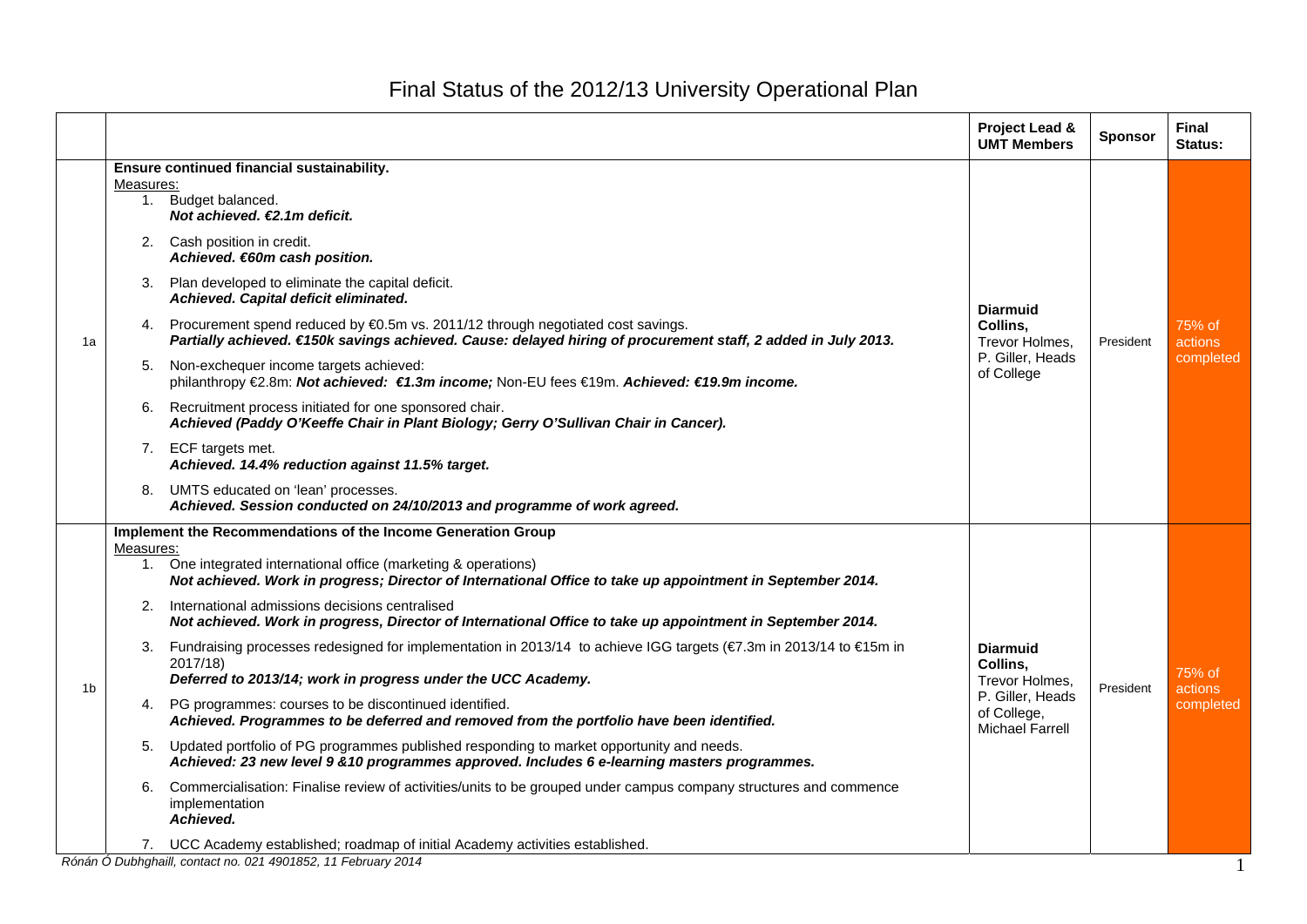## Final Status of the 2012/13 University Operational Plan

|    |    |                                                                                                                                                                                                     | <b>Project Lead &amp;</b><br><b>UMT Members</b>                                                            | <b>Sponsor</b> | <b>Final</b><br>Status:               |  |  |  |
|----|----|-----------------------------------------------------------------------------------------------------------------------------------------------------------------------------------------------------|------------------------------------------------------------------------------------------------------------|----------------|---------------------------------------|--|--|--|
|    |    | Ensure continued financial sustainability.                                                                                                                                                          |                                                                                                            |                |                                       |  |  |  |
|    |    | Measures:                                                                                                                                                                                           |                                                                                                            |                |                                       |  |  |  |
| 1a |    | 1. Budget balanced.<br>Not achieved. €2.1m deficit.                                                                                                                                                 |                                                                                                            |                |                                       |  |  |  |
|    |    | 2. Cash position in credit.<br>Achieved. €60m cash position.                                                                                                                                        |                                                                                                            |                |                                       |  |  |  |
|    |    | 3. Plan developed to eliminate the capital deficit.<br>Achieved. Capital deficit eliminated.                                                                                                        | <b>Diarmuid</b><br>Collins,<br>Trevor Holmes,<br>P. Giller, Heads<br>of College                            | President      | 75% of<br>actions<br>completed        |  |  |  |
|    |    | 4. Procurement spend reduced by €0.5m vs. 2011/12 through negotiated cost savings.<br>Partially achieved. €150k savings achieved. Cause: delayed hiring of procurement staff, 2 added in July 2013. |                                                                                                            |                |                                       |  |  |  |
|    | 5. | Non-exchequer income targets achieved:<br>philanthropy €2.8m: Not achieved: €1.3m income; Non-EU fees €19m. Achieved: €19.9m income.                                                                |                                                                                                            |                |                                       |  |  |  |
|    | 6. | Recruitment process initiated for one sponsored chair.<br>Achieved (Paddy O'Keeffe Chair in Plant Biology; Gerry O'Sullivan Chair in Cancer).                                                       |                                                                                                            |                |                                       |  |  |  |
|    |    | 7. ECF targets met.<br>Achieved. 14.4% reduction against 11.5% target.                                                                                                                              |                                                                                                            |                |                                       |  |  |  |
|    |    | 8. UMTS educated on 'lean' processes.<br>Achieved. Session conducted on 24/10/2013 and programme of work agreed.                                                                                    |                                                                                                            |                |                                       |  |  |  |
|    |    | Implement the Recommendations of the Income Generation Group<br>Measures:                                                                                                                           |                                                                                                            |                |                                       |  |  |  |
|    |    | 1. One integrated international office (marketing & operations)<br>Not achieved. Work in progress; Director of International Office to take up appointment in September 2014.                       |                                                                                                            |                |                                       |  |  |  |
|    |    | 2. International admissions decisions centralised<br>Not achieved. Work in progress, Director of International Office to take up appointment in September 2014.                                     |                                                                                                            |                |                                       |  |  |  |
| 1b |    | 3. Fundraising processes redesigned for implementation in 2013/14 to achieve IGG targets (€7.3m in 2013/14 to €15m in<br>2017/18)<br>Deferred to 2013/14; work in progress under the UCC Academy.   | <b>Diarmuid</b><br>Collins,<br>Trevor Holmes,<br>P. Giller, Heads<br>of College,<br><b>Michael Farrell</b> | President      | 75% of<br><b>actions</b><br>completed |  |  |  |
|    |    | 4. PG programmes: courses to be discontinued identified.<br>Achieved. Programmes to be deferred and removed from the portfolio have been identified.                                                |                                                                                                            |                |                                       |  |  |  |
|    | 5. | Updated portfolio of PG programmes published responding to market opportunity and needs.<br>Achieved: 23 new level 9 & 10 programmes approved. Includes 6 e-learning masters programmes.            |                                                                                                            |                |                                       |  |  |  |
|    | 6. | Commercialisation: Finalise review of activities/units to be grouped under campus company structures and commence<br>implementation<br>Achieved.                                                    |                                                                                                            |                |                                       |  |  |  |
|    |    | 7. UCC Academy established; roadmap of initial Academy activities established.                                                                                                                      |                                                                                                            |                |                                       |  |  |  |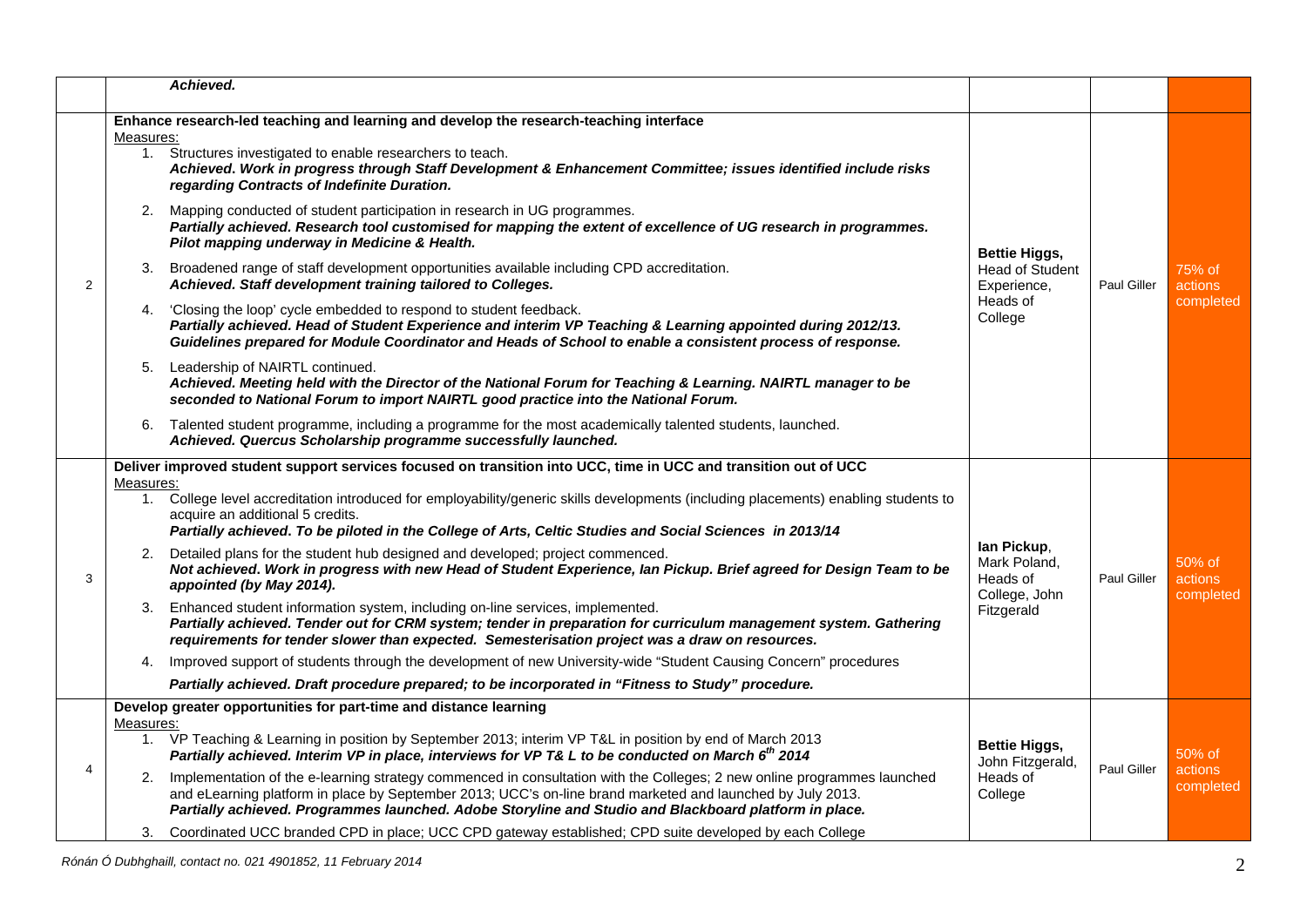|                | Achieved.                                                                                                                                                                                                                                                                                                                                                                                                                                                                                                                                                                                                                                                                                                                                                                                                                                                                                                                                                                                                                                                                                                                                                                                                                                                                                                                                                                                                                                                                                             |                                                                                      |                    |                                |
|----------------|-------------------------------------------------------------------------------------------------------------------------------------------------------------------------------------------------------------------------------------------------------------------------------------------------------------------------------------------------------------------------------------------------------------------------------------------------------------------------------------------------------------------------------------------------------------------------------------------------------------------------------------------------------------------------------------------------------------------------------------------------------------------------------------------------------------------------------------------------------------------------------------------------------------------------------------------------------------------------------------------------------------------------------------------------------------------------------------------------------------------------------------------------------------------------------------------------------------------------------------------------------------------------------------------------------------------------------------------------------------------------------------------------------------------------------------------------------------------------------------------------------|--------------------------------------------------------------------------------------|--------------------|--------------------------------|
| $\overline{2}$ | Enhance research-led teaching and learning and develop the research-teaching interface<br>Measures:<br>Structures investigated to enable researchers to teach.<br>1.<br>Achieved. Work in progress through Staff Development & Enhancement Committee; issues identified include risks<br>regarding Contracts of Indefinite Duration.<br>Mapping conducted of student participation in research in UG programmes.<br>2.<br>Partially achieved. Research tool customised for mapping the extent of excellence of UG research in programmes.<br>Pilot mapping underway in Medicine & Health.<br>Broadened range of staff development opportunities available including CPD accreditation.<br>3.<br>Achieved. Staff development training tailored to Colleges.<br>'Closing the loop' cycle embedded to respond to student feedback.<br>4.<br>Partially achieved. Head of Student Experience and interim VP Teaching & Learning appointed during 2012/13.<br>Guidelines prepared for Module Coordinator and Heads of School to enable a consistent process of response.<br>Leadership of NAIRTL continued.<br>5.<br>Achieved. Meeting held with the Director of the National Forum for Teaching & Learning. NAIRTL manager to be<br>seconded to National Forum to import NAIRTL good practice into the National Forum.<br>Talented student programme, including a programme for the most academically talented students, launched.<br>6.<br>Achieved. Quercus Scholarship programme successfully launched. | <b>Bettie Higgs,</b><br><b>Head of Student</b><br>Experience,<br>Heads of<br>College | Paul Giller        | 75% of<br>actions<br>completed |
| 3              | Deliver improved student support services focused on transition into UCC, time in UCC and transition out of UCC<br>Measures:<br>1. College level accreditation introduced for employability/generic skills developments (including placements) enabling students to<br>acquire an additional 5 credits.<br>Partially achieved. To be piloted in the College of Arts, Celtic Studies and Social Sciences in 2013/14<br>Detailed plans for the student hub designed and developed; project commenced.<br>2.<br>Not achieved. Work in progress with new Head of Student Experience, Ian Pickup. Brief agreed for Design Team to be<br>appointed (by May 2014).<br>3. Enhanced student information system, including on-line services, implemented.<br>Partially achieved. Tender out for CRM system; tender in preparation for curriculum management system. Gathering<br>requirements for tender slower than expected. Semesterisation project was a draw on resources.<br>Improved support of students through the development of new University-wide "Student Causing Concern" procedures<br>4.<br>Partially achieved. Draft procedure prepared; to be incorporated in "Fitness to Study" procedure.                                                                                                                                                                                                                                                                                                  | lan Pickup,<br>Mark Poland,<br>Heads of<br>College, John<br>Fitzgerald               | <b>Paul Giller</b> | 50% of<br>actions<br>completed |
| 4              | Develop greater opportunities for part-time and distance learning<br>Measures:<br>1. VP Teaching & Learning in position by September 2013; interim VP T&L in position by end of March 2013<br>Partially achieved. Interim VP in place, interviews for VP T& L to be conducted on March 6th 2014<br>2. Implementation of the e-learning strategy commenced in consultation with the Colleges; 2 new online programmes launched<br>and eLearning platform in place by September 2013; UCC's on-line brand marketed and launched by July 2013.<br>Partially achieved. Programmes launched. Adobe Storyline and Studio and Blackboard platform in place.<br>3. Coordinated UCC branded CPD in place; UCC CPD gateway established; CPD suite developed by each College                                                                                                                                                                                                                                                                                                                                                                                                                                                                                                                                                                                                                                                                                                                                     | <b>Bettie Higgs,</b><br>John Fitzgerald,<br>Heads of<br>College                      | Paul Giller        | 50% of<br>actions<br>completed |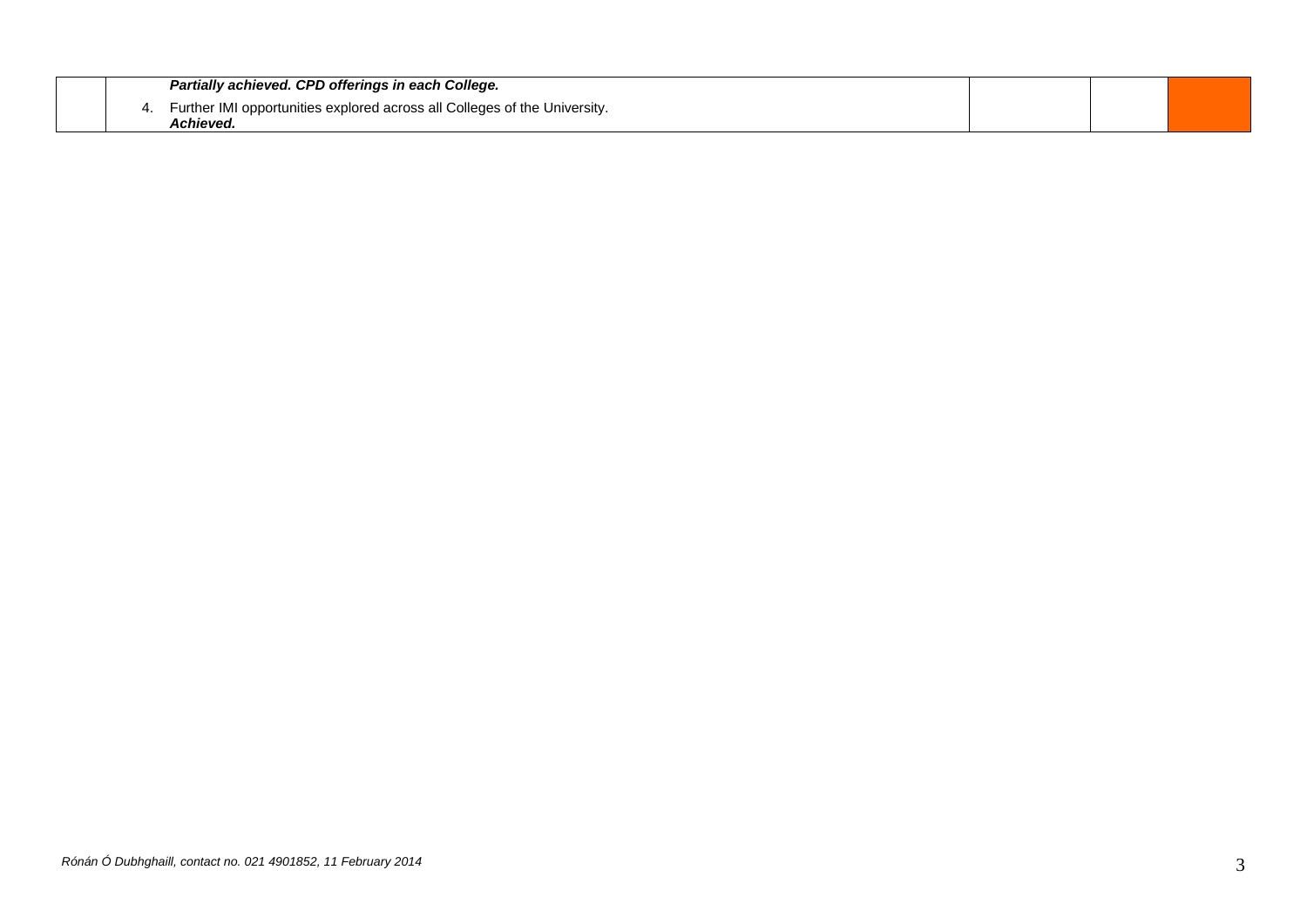|    | Partially achieved. CPD offerings in each College.                                    |  |  |
|----|---------------------------------------------------------------------------------------|--|--|
| 4. | Further IMI opportunities explored across all Colleges of the University.<br>Achieved |  |  |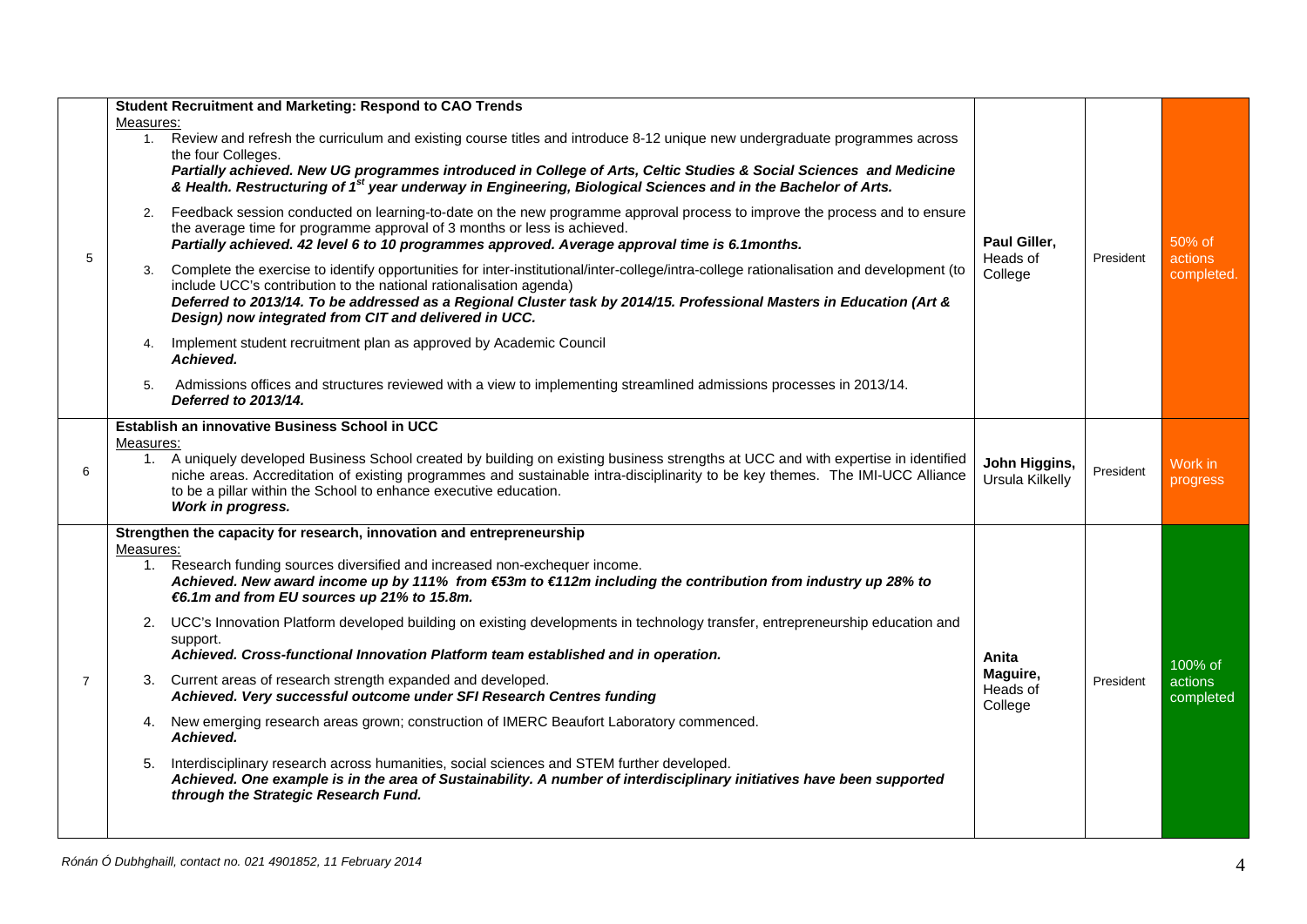| 5              | Measures:<br>1.             | <b>Student Recruitment and Marketing: Respond to CAO Trends</b><br>Review and refresh the curriculum and existing course titles and introduce 8-12 unique new undergraduate programmes across<br>the four Colleges.<br>Partially achieved. New UG programmes introduced in College of Arts, Celtic Studies & Social Sciences and Medicine<br>& Health. Restructuring of 1 <sup>st</sup> year underway in Engineering, Biological Sciences and in the Bachelor of Arts.                                                                                                                                                                                                                                                                                                                                                                                                                                                                                                                                                                                         |                                          |           |                                 |
|----------------|-----------------------------|----------------------------------------------------------------------------------------------------------------------------------------------------------------------------------------------------------------------------------------------------------------------------------------------------------------------------------------------------------------------------------------------------------------------------------------------------------------------------------------------------------------------------------------------------------------------------------------------------------------------------------------------------------------------------------------------------------------------------------------------------------------------------------------------------------------------------------------------------------------------------------------------------------------------------------------------------------------------------------------------------------------------------------------------------------------|------------------------------------------|-----------|---------------------------------|
|                | 2.                          | Feedback session conducted on learning-to-date on the new programme approval process to improve the process and to ensure<br>the average time for programme approval of 3 months or less is achieved.<br>Partially achieved. 42 level 6 to 10 programmes approved. Average approval time is 6.1 months.                                                                                                                                                                                                                                                                                                                                                                                                                                                                                                                                                                                                                                                                                                                                                        | Paul Giller,                             | President | 50% of<br>actions<br>completed. |
|                | 3.                          | Complete the exercise to identify opportunities for inter-institutional/inter-college/intra-college rationalisation and development (to<br>include UCC's contribution to the national rationalisation agenda)<br>Deferred to 2013/14. To be addressed as a Regional Cluster task by 2014/15. Professional Masters in Education (Art &<br>Design) now integrated from CIT and delivered in UCC.                                                                                                                                                                                                                                                                                                                                                                                                                                                                                                                                                                                                                                                                 | Heads of<br>College                      |           |                                 |
|                | 4.                          | Implement student recruitment plan as approved by Academic Council<br>Achieved.                                                                                                                                                                                                                                                                                                                                                                                                                                                                                                                                                                                                                                                                                                                                                                                                                                                                                                                                                                                |                                          |           |                                 |
|                | 5.                          | Admissions offices and structures reviewed with a view to implementing streamlined admissions processes in 2013/14.<br>Deferred to 2013/14.                                                                                                                                                                                                                                                                                                                                                                                                                                                                                                                                                                                                                                                                                                                                                                                                                                                                                                                    |                                          |           |                                 |
|                |                             | Establish an innovative Business School in UCC                                                                                                                                                                                                                                                                                                                                                                                                                                                                                                                                                                                                                                                                                                                                                                                                                                                                                                                                                                                                                 |                                          |           |                                 |
| 6              | Measures:                   | 1. A uniquely developed Business School created by building on existing business strengths at UCC and with expertise in identified<br>niche areas. Accreditation of existing programmes and sustainable intra-disciplinarity to be key themes. The IMI-UCC Alliance<br>to be a pillar within the School to enhance executive education.<br>Work in progress.                                                                                                                                                                                                                                                                                                                                                                                                                                                                                                                                                                                                                                                                                                   | John Higgins,<br>Ursula Kilkelly         | President | Work in<br>progress             |
| $\overline{7}$ | Measures:<br>1.<br>2.<br>3. | Strengthen the capacity for research, innovation and entrepreneurship<br>Research funding sources diversified and increased non-exchequer income.<br>Achieved. New award income up by 111% from €53m to €112m including the contribution from industry up 28% to<br>€6.1m and from EU sources up 21% to 15.8m.<br>UCC's Innovation Platform developed building on existing developments in technology transfer, entrepreneurship education and<br>support.<br>Achieved. Cross-functional Innovation Platform team established and in operation.<br>Current areas of research strength expanded and developed.<br>Achieved. Very successful outcome under SFI Research Centres funding<br>4. New emerging research areas grown; construction of IMERC Beaufort Laboratory commenced.<br>Achieved.<br>Interdisciplinary research across humanities, social sciences and STEM further developed.<br>Achieved. One example is in the area of Sustainability. A number of interdisciplinary initiatives have been supported<br>through the Strategic Research Fund. | Anita<br>Maguire,<br>Heads of<br>College | President | 100% of<br>actions<br>completed |